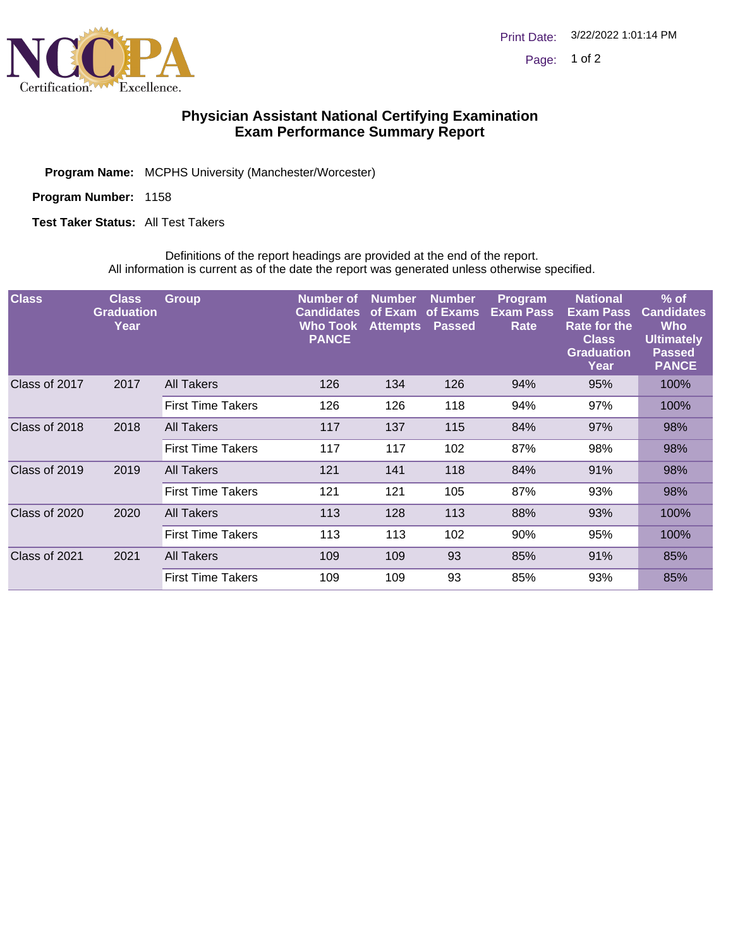

## **Physician Assistant National Certifying Examination Exam Performance Summary Report**

**Program Name:** MCPHS University (Manchester/Worcester)

**Program Number:** 1158

**Test Taker Status:** All Test Takers

Definitions of the report headings are provided at the end of the report. All information is current as of the date the report was generated unless otherwise specified.

| <b>Class</b>  | <b>Class</b><br><b>Graduation</b><br>Year | <b>Group</b>             | <b>Number</b> of<br><b>Candidates</b><br>Who Took<br><b>PANCE</b> | <b>Number</b><br>of Exam<br><b>Attempts</b> | <b>Number</b><br>of Exams<br><b>Passed</b> | Program<br><b>Exam Pass</b><br>Rate | <b>National</b><br><b>Exam Pass</b><br>Rate for the<br><b>Class</b><br><b>Graduation</b><br>Year | $%$ of<br><b>Candidates</b><br>Who<br><b>Ultimately</b><br><b>Passed</b><br><b>PANCE</b> |
|---------------|-------------------------------------------|--------------------------|-------------------------------------------------------------------|---------------------------------------------|--------------------------------------------|-------------------------------------|--------------------------------------------------------------------------------------------------|------------------------------------------------------------------------------------------|
| Class of 2017 | 2017                                      | All Takers               | 126                                                               | 134                                         | 126                                        | 94%                                 | 95%                                                                                              | 100%                                                                                     |
|               |                                           | <b>First Time Takers</b> | 126                                                               | 126                                         | 118                                        | 94%                                 | 97%                                                                                              | 100%                                                                                     |
| Class of 2018 | 2018                                      | <b>All Takers</b>        | 117                                                               | 137                                         | 115                                        | 84%                                 | 97%                                                                                              | 98%                                                                                      |
|               |                                           | <b>First Time Takers</b> | 117                                                               | 117                                         | 102                                        | 87%                                 | 98%                                                                                              | 98%                                                                                      |
| Class of 2019 | 2019                                      | All Takers               | 121                                                               | 141                                         | 118                                        | 84%                                 | 91%                                                                                              | 98%                                                                                      |
|               |                                           | <b>First Time Takers</b> | 121                                                               | 121                                         | 105                                        | 87%                                 | 93%                                                                                              | 98%                                                                                      |
| Class of 2020 | 2020                                      | All Takers               | 113                                                               | 128                                         | 113                                        | 88%                                 | 93%                                                                                              | 100%                                                                                     |
|               |                                           | <b>First Time Takers</b> | 113                                                               | 113                                         | 102                                        | 90%                                 | 95%                                                                                              | 100%                                                                                     |
| Class of 2021 | 2021                                      | All Takers               | 109                                                               | 109                                         | 93                                         | 85%                                 | 91%                                                                                              | 85%                                                                                      |
|               |                                           | <b>First Time Takers</b> | 109                                                               | 109                                         | 93                                         | 85%                                 | 93%                                                                                              | 85%                                                                                      |